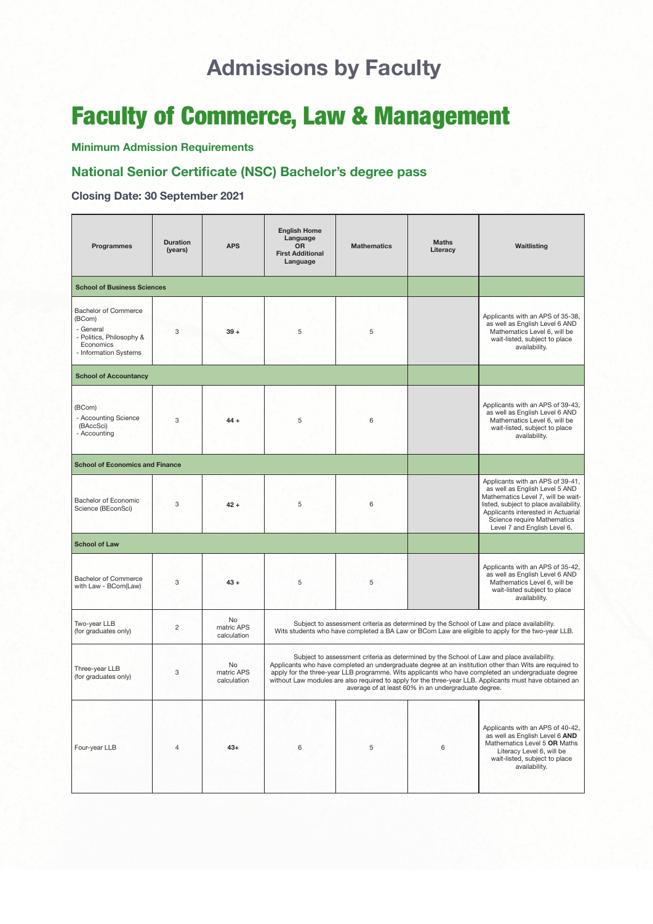# **Admissions by Faculty**

# Faculty of Commerce, Law & Management

**Minimum Admission Requirements**

## **National Senior Certificate (NSC) Bachelor's degree pass**

**Closing Date: 30 September 2021**

| Programmes                                                                                                           | <b>Duration</b><br>(years) | <b>APS</b>                      | <b>English Home</b><br>Language<br><b>OR</b><br><b>First Additional</b><br>Language                                                                                                                                                                                                                                                                                                                                                                                          | <b>Mathematics</b> | <b>Maths</b><br>Literacy | Waitlisting                                                                                                                                                                                                                                             |  |  |  |
|----------------------------------------------------------------------------------------------------------------------|----------------------------|---------------------------------|------------------------------------------------------------------------------------------------------------------------------------------------------------------------------------------------------------------------------------------------------------------------------------------------------------------------------------------------------------------------------------------------------------------------------------------------------------------------------|--------------------|--------------------------|---------------------------------------------------------------------------------------------------------------------------------------------------------------------------------------------------------------------------------------------------------|--|--|--|
| <b>School of Business Sciences</b>                                                                                   |                            |                                 |                                                                                                                                                                                                                                                                                                                                                                                                                                                                              |                    |                          |                                                                                                                                                                                                                                                         |  |  |  |
| <b>Bachelor of Commerce</b><br>(BCom)<br>- General<br>- Politics, Philosophy &<br>Economics<br>- Information Systems | 3                          | $39 +$                          | 5                                                                                                                                                                                                                                                                                                                                                                                                                                                                            | 5                  |                          | Applicants with an APS of 35-38,<br>as well as English Level 6 AND<br>Mathematics Level 6, will be<br>wait-listed, subject to place<br>availability.                                                                                                    |  |  |  |
| <b>School of Accountancy</b>                                                                                         |                            |                                 |                                                                                                                                                                                                                                                                                                                                                                                                                                                                              |                    |                          |                                                                                                                                                                                                                                                         |  |  |  |
| (BCom)<br>- Accounting Science<br>(BAccSci)<br>- Accounting                                                          | 3                          | $44 +$                          | 5                                                                                                                                                                                                                                                                                                                                                                                                                                                                            | 6                  |                          | Applicants with an APS of 39-43,<br>as well as English Level 6 AND<br>Mathematics Level 6, will be<br>wait-listed, subject to place<br>availability.                                                                                                    |  |  |  |
| <b>School of Economics and Finance</b>                                                                               |                            |                                 |                                                                                                                                                                                                                                                                                                                                                                                                                                                                              |                    |                          |                                                                                                                                                                                                                                                         |  |  |  |
| Bachelor of Economic<br>Science (BEconSci)                                                                           | 3                          | $42 +$                          | 5                                                                                                                                                                                                                                                                                                                                                                                                                                                                            | 6                  |                          | Applicants with an APS of 39-41,<br>as well as English Level 5 AND<br>Mathematics Level 7, will be wait-<br>listed, subject to place availability.<br>Applicants interested in Actuarial<br>Science require Mathematics<br>Level 7 and English Level 6. |  |  |  |
| <b>School of Law</b>                                                                                                 |                            |                                 |                                                                                                                                                                                                                                                                                                                                                                                                                                                                              |                    |                          |                                                                                                                                                                                                                                                         |  |  |  |
| <b>Bachelor of Commerce</b><br>with Law - BCom(Law)                                                                  | 3                          | $43 +$                          | 5                                                                                                                                                                                                                                                                                                                                                                                                                                                                            | 5                  |                          | Applicants with an APS of 35-42,<br>as well as English Level 6 AND<br>Mathematics Level 6, will be<br>wait-listed subject to place<br>availability.                                                                                                     |  |  |  |
| Two-year LLB<br>(for graduates only)                                                                                 | $\overline{c}$             | No<br>matric APS<br>calculation | Subject to assessment criteria as determined by the School of Law and place availability.<br>Wits students who have completed a BA Law or BCom Law are eligible to apply for the two-year LLB.                                                                                                                                                                                                                                                                               |                    |                          |                                                                                                                                                                                                                                                         |  |  |  |
| Three-year LLB<br>(for graduates only)                                                                               | 3                          | No<br>matric APS<br>calculation | Subject to assessment criteria as determined by the School of Law and place availability.<br>Applicants who have completed an undergraduate degree at an institution other than Wits are required to<br>apply for the three-year LLB programme. Wits applicants who have completed an undergraduate degree<br>without Law modules are also required to apply for the three-year LLB. Applicants must have obtained an<br>average of at least 60% in an undergraduate degree. |                    |                          |                                                                                                                                                                                                                                                         |  |  |  |
| Four-year LLB                                                                                                        | $\overline{4}$             | $43+$                           | 6                                                                                                                                                                                                                                                                                                                                                                                                                                                                            | 5                  | 6                        | Applicants with an APS of 40-42,<br>as well as English Level 6 AND<br>Mathematics Level 5 OR Maths<br>Literacy Level 6, will be<br>wait-listed, subject to place<br>availability.                                                                       |  |  |  |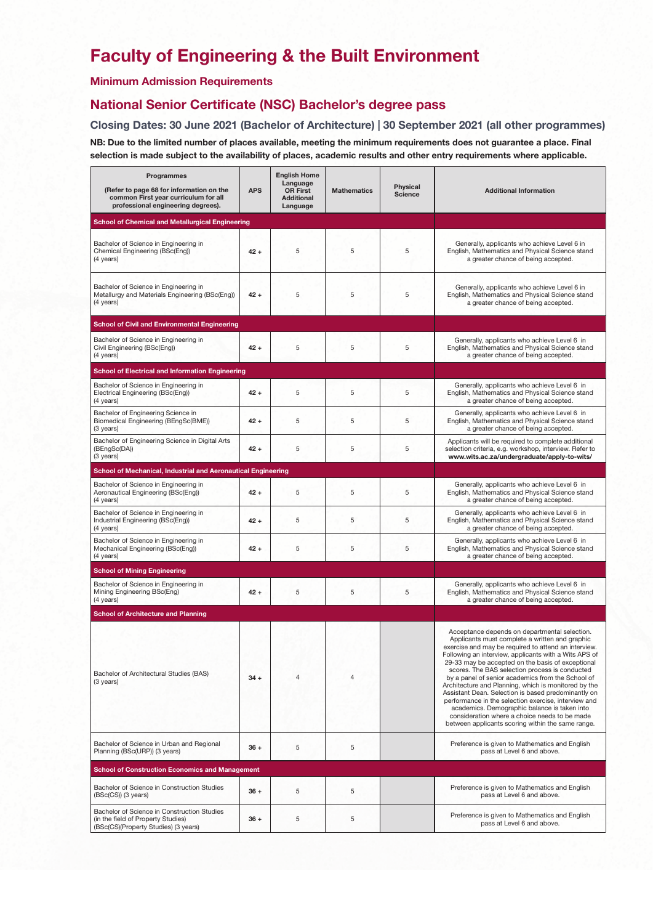# **Faculty of Engineering & the Built Environment**

### **Minimum Admission Requirements**

### **National Senior Certificate (NSC) Bachelor's degree pass**

**Closing Dates: 30 June 2021 (Bachelor of Architecture) | 30 September 2021 (all other programmes) NB: Due to the limited number of places available, meeting the minimum requirements does not guarantee a place. Final selection is made subject to the availability of places, academic results and other entry requirements where applicable.**

| Programmes<br>(Refer to page 68 for information on the<br>common First year curriculum for all<br>professional engineering degrees). | <b>APS</b> | <b>English Home</b><br>Language<br><b>OR First</b><br><b>Additional</b><br>Language | <b>Mathematics</b> | <b>Physical</b><br><b>Science</b> | <b>Additional Information</b>                                                                                                                                                                                                                                                                                                                                                                                                                                                                                                                                                                                                                                                                             |
|--------------------------------------------------------------------------------------------------------------------------------------|------------|-------------------------------------------------------------------------------------|--------------------|-----------------------------------|-----------------------------------------------------------------------------------------------------------------------------------------------------------------------------------------------------------------------------------------------------------------------------------------------------------------------------------------------------------------------------------------------------------------------------------------------------------------------------------------------------------------------------------------------------------------------------------------------------------------------------------------------------------------------------------------------------------|
| <b>School of Chemical and Metallurgical Engineering</b>                                                                              |            |                                                                                     |                    |                                   |                                                                                                                                                                                                                                                                                                                                                                                                                                                                                                                                                                                                                                                                                                           |
| Bachelor of Science in Engineering in<br>Chemical Engineering (BSc(Eng))<br>(4 years)                                                | $42 +$     | 5                                                                                   | 5                  | 5                                 | Generally, applicants who achieve Level 6 in<br>English, Mathematics and Physical Science stand<br>a greater chance of being accepted.                                                                                                                                                                                                                                                                                                                                                                                                                                                                                                                                                                    |
| Bachelor of Science in Engineering in<br>Metallurgy and Materials Engineering (BSc(Eng))<br>(4 years)                                | $42 +$     | 5                                                                                   | 5                  | 5                                 | Generally, applicants who achieve Level 6 in<br>English, Mathematics and Physical Science stand<br>a greater chance of being accepted.                                                                                                                                                                                                                                                                                                                                                                                                                                                                                                                                                                    |
| <b>School of Civil and Environmental Engineering</b>                                                                                 |            |                                                                                     |                    |                                   |                                                                                                                                                                                                                                                                                                                                                                                                                                                                                                                                                                                                                                                                                                           |
| Bachelor of Science in Engineering in<br>Civil Engineering (BSc(Eng))<br>(4 years)                                                   | $42 +$     | 5                                                                                   | 5                  | 5                                 | Generally, applicants who achieve Level 6 in<br>English, Mathematics and Physical Science stand<br>a greater chance of being accepted.                                                                                                                                                                                                                                                                                                                                                                                                                                                                                                                                                                    |
| <b>School of Electrical and Information Engineering</b>                                                                              |            |                                                                                     |                    |                                   |                                                                                                                                                                                                                                                                                                                                                                                                                                                                                                                                                                                                                                                                                                           |
| Bachelor of Science in Engineering in<br>Electrical Engineering (BSc(Eng))<br>$(4 \text{ years})$                                    | $42 +$     | 5                                                                                   | 5                  | 5                                 | Generally, applicants who achieve Level 6 in<br>English, Mathematics and Physical Science stand<br>a greater chance of being accepted.                                                                                                                                                                                                                                                                                                                                                                                                                                                                                                                                                                    |
| Bachelor of Engineering Science in<br>Biomedical Engineering (BEngSc(BME))<br>(3 years)                                              | $42 +$     | 5                                                                                   | 5                  | 5                                 | Generally, applicants who achieve Level 6 in<br>English, Mathematics and Physical Science stand<br>a greater chance of being accepted.                                                                                                                                                                                                                                                                                                                                                                                                                                                                                                                                                                    |
| Bachelor of Engineering Science in Digital Arts<br>(BEngSc(DA))<br>(3 years)                                                         | $42 +$     | 5                                                                                   | 5                  | 5                                 | Applicants will be required to complete additional<br>selection criteria, e.g. workshop, interview. Refer to<br>www.wits.ac.za/undergraduate/apply-to-wits/                                                                                                                                                                                                                                                                                                                                                                                                                                                                                                                                               |
| School of Mechanical, Industrial and Aeronautical Engineering                                                                        |            |                                                                                     |                    |                                   |                                                                                                                                                                                                                                                                                                                                                                                                                                                                                                                                                                                                                                                                                                           |
| Bachelor of Science in Engineering in<br>Aeronautical Engineering (BSc(Eng))<br>(4 years)                                            | $42 +$     | 5                                                                                   | 5                  | 5                                 | Generally, applicants who achieve Level 6 in<br>English, Mathematics and Physical Science stand<br>a greater chance of being accepted.                                                                                                                                                                                                                                                                                                                                                                                                                                                                                                                                                                    |
| Bachelor of Science in Engineering in<br>Industrial Engineering (BSc(Eng))<br>(4 years)                                              | $42 +$     | 5                                                                                   | 5                  | 5                                 | Generally, applicants who achieve Level 6 in<br>English, Mathematics and Physical Science stand<br>a greater chance of being accepted.                                                                                                                                                                                                                                                                                                                                                                                                                                                                                                                                                                    |
| Bachelor of Science in Engineering in<br>Mechanical Engineering (BSc(Eng))<br>(4 years)                                              | $42 +$     | 5                                                                                   | 5                  | 5                                 | Generally, applicants who achieve Level 6 in<br>English, Mathematics and Physical Science stand<br>a greater chance of being accepted.                                                                                                                                                                                                                                                                                                                                                                                                                                                                                                                                                                    |
| <b>School of Mining Engineering</b>                                                                                                  |            |                                                                                     |                    |                                   |                                                                                                                                                                                                                                                                                                                                                                                                                                                                                                                                                                                                                                                                                                           |
| Bachelor of Science in Engineering in<br>Mining Engineering BSc(Eng)<br>(4 years)                                                    | $42 +$     | 5                                                                                   | 5                  | 5                                 | Generally, applicants who achieve Level 6 in<br>English, Mathematics and Physical Science stand<br>a greater chance of being accepted.                                                                                                                                                                                                                                                                                                                                                                                                                                                                                                                                                                    |
| <b>School of Architecture and Planning</b>                                                                                           |            |                                                                                     |                    |                                   |                                                                                                                                                                                                                                                                                                                                                                                                                                                                                                                                                                                                                                                                                                           |
| Bachelor of Architectural Studies (BAS)<br>(3 years)                                                                                 | $34 +$     | 4                                                                                   | $\overline{4}$     |                                   | Acceptance depends on departmental selection.<br>Applicants must complete a written and graphic<br>exercise and may be required to attend an interview.<br>Following an interview, applicants with a Wits APS of<br>29-33 may be accepted on the basis of exceptional<br>scores. The BAS selection process is conducted<br>by a panel of senior academics from the School of<br>Architecture and Planning, which is monitored by the<br>Assistant Dean. Selection is based predominantly on<br>performance in the selection exercise, interview and<br>academics. Demographic balance is taken into<br>consideration where a choice needs to be made<br>between applicants scoring within the same range. |
| Bachelor of Science in Urban and Regional<br>Planning (BSc(URP)) (3 years)                                                           | $36 +$     | 5                                                                                   | 5                  |                                   | Preference is given to Mathematics and English<br>pass at Level 6 and above.                                                                                                                                                                                                                                                                                                                                                                                                                                                                                                                                                                                                                              |
| <b>School of Construction Economics and Management</b>                                                                               |            |                                                                                     |                    |                                   |                                                                                                                                                                                                                                                                                                                                                                                                                                                                                                                                                                                                                                                                                                           |
| Bachelor of Science in Construction Studies<br>(BSc(CS)) (3 years)                                                                   | $36 +$     | 5                                                                                   | 5                  |                                   | Preference is given to Mathematics and English<br>pass at Level 6 and above.                                                                                                                                                                                                                                                                                                                                                                                                                                                                                                                                                                                                                              |
| Bachelor of Science in Construction Studies<br>(in the field of Property Studies)<br>(BSc(CS)(Property Studies) (3 years)            | $36 +$     | 5                                                                                   | 5                  |                                   | Preference is given to Mathematics and English<br>pass at Level 6 and above.                                                                                                                                                                                                                                                                                                                                                                                                                                                                                                                                                                                                                              |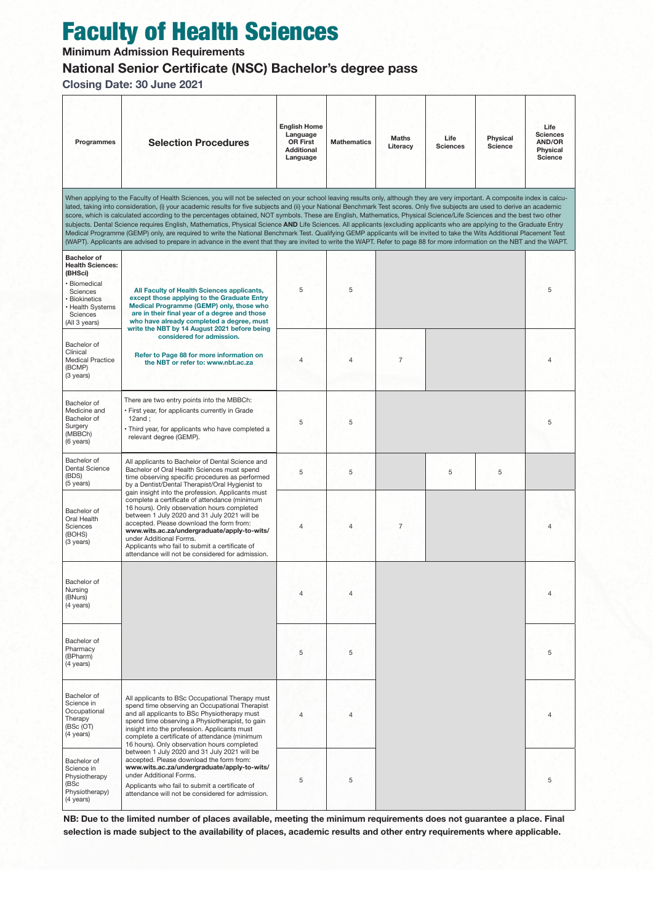# Faculty of Health Sciences

**Minimum Admission Requirements**

### **National Senior Certificate (NSC) Bachelor's degree pass**

**Closing Date: 30 June 2021**

| Programmes                                                                                                                                                                                                                                                                                                                                                    | <b>Selection Procedures</b>                                                                                                                                                                                                                                                                                                                                                                                                                                                                                                                                                                                                                                                                                                                                                                                                                                                                                                                                                                                                                                              | <b>English Home</b><br>Language<br><b>OR First</b><br><b>Additional</b><br>Language | <b>Mathematics</b> | <b>Maths</b><br>Literacy | Life<br><b>Sciences</b> | Physical<br><b>Science</b> | Life<br><b>Sciences</b><br>AND/OR<br>Physical<br>Science |
|---------------------------------------------------------------------------------------------------------------------------------------------------------------------------------------------------------------------------------------------------------------------------------------------------------------------------------------------------------------|--------------------------------------------------------------------------------------------------------------------------------------------------------------------------------------------------------------------------------------------------------------------------------------------------------------------------------------------------------------------------------------------------------------------------------------------------------------------------------------------------------------------------------------------------------------------------------------------------------------------------------------------------------------------------------------------------------------------------------------------------------------------------------------------------------------------------------------------------------------------------------------------------------------------------------------------------------------------------------------------------------------------------------------------------------------------------|-------------------------------------------------------------------------------------|--------------------|--------------------------|-------------------------|----------------------------|----------------------------------------------------------|
|                                                                                                                                                                                                                                                                                                                                                               | When applying to the Faculty of Health Sciences, you will not be selected on your school leaving results only, although they are very important. A composite index is calcu-<br>lated, taking into consideration, (i) your academic results for five subjects and (ii) your National Benchmark Test scores. Only five subjects are used to derive an academic<br>score, which is calculated according to the percentages obtained, NOT symbols. These are English, Mathematics, Physical Science/Life Sciences and the best two other<br>subjects. Dental Science requires English, Mathematics, Physical Science AND Life Sciences. All applicants (excluding applicants who are applying to the Graduate Entry<br>Medical Programme (GEMP) only, are required to write the National Benchmark Test. Qualifying GEMP applicants will be invited to take the Wits Additional Placement Test<br>(WAPT). Applicants are advised to prepare in advance in the event that they are invited to write the WAPT. Refer to page 88 for more information on the NBT and the WAPT. |                                                                                     |                    |                          |                         |                            |                                                          |
| <b>Bachelor of</b><br><b>Health Sciences:</b><br>(BHSci)<br>· Biomedical<br>Sciences<br>· Biokinetics<br>· Health Systems<br>Sciences<br>(All 3 years)                                                                                                                                                                                                        | All Faculty of Health Sciences applicants,<br>except those applying to the Graduate Entry<br>Medical Programme (GEMP) only, those who<br>are in their final year of a degree and those<br>who have already completed a degree, must                                                                                                                                                                                                                                                                                                                                                                                                                                                                                                                                                                                                                                                                                                                                                                                                                                      | 5                                                                                   | 5                  |                          |                         |                            | 5                                                        |
| Bachelor of<br>Clinical<br><b>Medical Practice</b><br>(BCMP)<br>(3 years)                                                                                                                                                                                                                                                                                     | write the NBT by 14 August 2021 before being<br>considered for admission.<br>Refer to Page 88 for more information on<br>the NBT or refer to: www.nbt.ac.za                                                                                                                                                                                                                                                                                                                                                                                                                                                                                                                                                                                                                                                                                                                                                                                                                                                                                                              | 4                                                                                   | 4                  | $\overline{7}$           |                         |                            | $\overline{4}$                                           |
| Bachelor of<br>Medicine and<br>Bachelor of<br>Surgery<br>(MBBCh)<br>(6 years)                                                                                                                                                                                                                                                                                 | There are two entry points into the MBBCh:<br>· First year, for applicants currently in Grade<br>$12$ and;<br>• Third year, for applicants who have completed a<br>relevant degree (GEMP).                                                                                                                                                                                                                                                                                                                                                                                                                                                                                                                                                                                                                                                                                                                                                                                                                                                                               | 5                                                                                   | 5                  |                          |                         |                            | 5                                                        |
| Bachelor of<br>Dental Science<br>(BDS)<br>(5 years)                                                                                                                                                                                                                                                                                                           | All applicants to Bachelor of Dental Science and<br>Bachelor of Oral Health Sciences must spend<br>time observing specific procedures as performed<br>by a Dentist/Dental Therapist/Oral Hygienist to                                                                                                                                                                                                                                                                                                                                                                                                                                                                                                                                                                                                                                                                                                                                                                                                                                                                    | 5                                                                                   | 5                  |                          | 5                       | 5                          |                                                          |
| Bachelor of<br>Oral Health<br>Sciences<br>(BOHS)<br>(3 years)                                                                                                                                                                                                                                                                                                 | gain insight into the profession. Applicants must<br>complete a certificate of attendance (minimum<br>16 hours). Only observation hours completed<br>between 1 July 2020 and 31 July 2021 will be<br>accepted. Please download the form from:<br>www.wits.ac.za/undergraduate/apply-to-wits/<br>under Additional Forms.<br>Applicants who fail to submit a certificate of<br>attendance will not be considered for admission.                                                                                                                                                                                                                                                                                                                                                                                                                                                                                                                                                                                                                                            | 4                                                                                   | 4                  | $\overline{7}$           |                         |                            | $\overline{4}$                                           |
| Bachelor of<br>Nursing<br>(BNurs)<br>(4 years)                                                                                                                                                                                                                                                                                                                |                                                                                                                                                                                                                                                                                                                                                                                                                                                                                                                                                                                                                                                                                                                                                                                                                                                                                                                                                                                                                                                                          | 4                                                                                   | 4                  |                          |                         |                            | $\overline{4}$                                           |
| Bachelor of<br>Pharmacy<br>(BPharm)<br>(4 years)                                                                                                                                                                                                                                                                                                              |                                                                                                                                                                                                                                                                                                                                                                                                                                                                                                                                                                                                                                                                                                                                                                                                                                                                                                                                                                                                                                                                          | 5                                                                                   | 5                  |                          |                         |                            | 5                                                        |
| Bachelor of<br>Science in<br>Occupational<br>Therapy<br>(BSc (OT)<br>(4 years)                                                                                                                                                                                                                                                                                | All applicants to BSc Occupational Therapy must<br>spend time observing an Occupational Therapist<br>and all applicants to BSc Physiotherapy must<br>spend time observing a Physiotherapist, to gain<br>insight into the profession. Applicants must<br>complete a certificate of attendance (minimum<br>16 hours). Only observation hours completed                                                                                                                                                                                                                                                                                                                                                                                                                                                                                                                                                                                                                                                                                                                     | 4                                                                                   | $\overline{4}$     |                          |                         |                            | $\overline{4}$                                           |
| between 1 July 2020 and 31 July 2021 will be<br>accepted. Please download the form from:<br>Bachelor of<br>www.wits.ac.za/undergraduate/apply-to-wits/<br>Science in<br>under Additional Forms.<br>Physiotherapy<br>(BSc<br>Applicants who fail to submit a certificate of<br>Physiotherapy)<br>attendance will not be considered for admission.<br>(4 years) |                                                                                                                                                                                                                                                                                                                                                                                                                                                                                                                                                                                                                                                                                                                                                                                                                                                                                                                                                                                                                                                                          | 5                                                                                   | 5                  |                          |                         |                            | 5                                                        |

**NB: Due to the limited number of places available, meeting the minimum requirements does not guarantee a place. Final selection is made subject to the availability of places, academic results and other entry requirements where applicable.**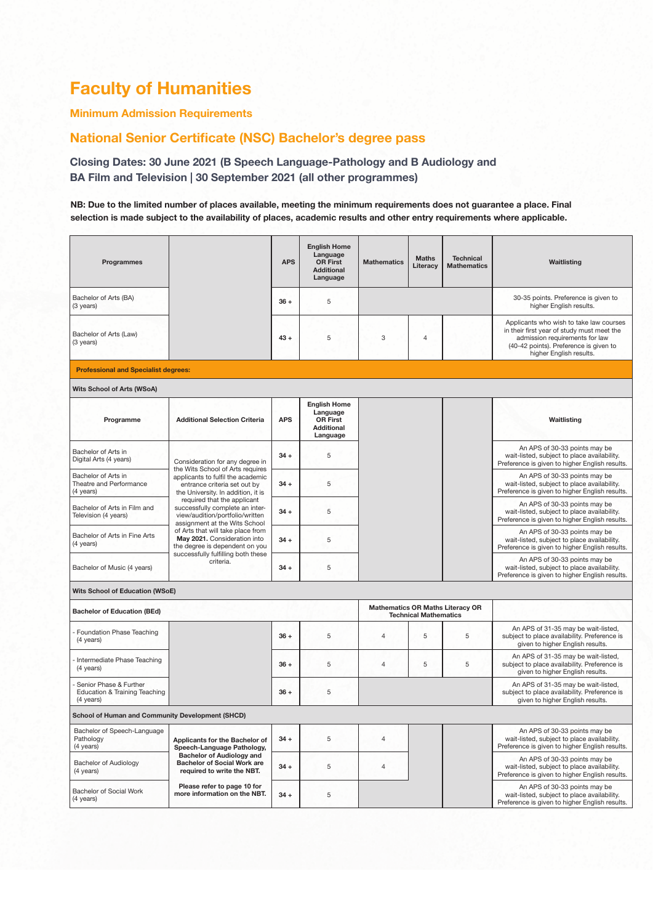## **Faculty of Humanities**

#### **Minimum Admission Requirements**

### **National Senior Certificate (NSC) Bachelor's degree pass**

**Closing Dates: 30 June 2021 (B Speech Language-Pathology and B Audiology and BA Film and Television | 30 September 2021 (all other programmes)**

#### **NB: Due to the limited number of places available, meeting the minimum requirements does not guarantee a place. Final selection is made subject to the availability of places, academic results and other entry requirements where applicable.**

| Programmes                                                                      |                                                                                                                                    | <b>APS</b> | <b>English Home</b><br>Language<br><b>OR First</b><br><b>Additional</b><br>Language | <b>Mathematics</b> | <b>Maths</b><br>Literacy     | <b>Technical</b><br><b>Mathematics</b>  | Waitlisting                                                                                                                                                                                  |  |
|---------------------------------------------------------------------------------|------------------------------------------------------------------------------------------------------------------------------------|------------|-------------------------------------------------------------------------------------|--------------------|------------------------------|-----------------------------------------|----------------------------------------------------------------------------------------------------------------------------------------------------------------------------------------------|--|
| Bachelor of Arts (BA)<br>(3 years)                                              |                                                                                                                                    | $36 +$     | 5                                                                                   |                    |                              |                                         | 30-35 points. Preference is given to<br>higher English results.                                                                                                                              |  |
| Bachelor of Arts (Law)<br>(3 years)                                             |                                                                                                                                    | $43 +$     | 5                                                                                   | 3                  | $\overline{4}$               |                                         | Applicants who wish to take law courses<br>in their first year of study must meet the<br>admission requirements for law<br>(40-42 points). Preference is given to<br>higher English results. |  |
| <b>Professional and Specialist degrees:</b>                                     |                                                                                                                                    |            |                                                                                     |                    |                              |                                         |                                                                                                                                                                                              |  |
| Wits School of Arts (WSoA)                                                      |                                                                                                                                    |            |                                                                                     |                    |                              |                                         |                                                                                                                                                                                              |  |
| Programme                                                                       | <b>Additional Selection Criteria</b>                                                                                               | <b>APS</b> | <b>English Home</b><br>Language<br><b>OR First</b><br><b>Additional</b><br>Language |                    |                              |                                         | Waitlisting                                                                                                                                                                                  |  |
| Bachelor of Arts in<br>Digital Arts (4 years)                                   | Consideration for any degree in<br>the Wits School of Arts requires                                                                | $34 +$     | 5                                                                                   |                    |                              |                                         | An APS of 30-33 points may be<br>wait-listed, subject to place availability.<br>Preference is given to higher English results.                                                               |  |
| Bachelor of Arts in<br>Theatre and Performance<br>(4 years)                     | applicants to fulfil the academic<br>entrance criteria set out by<br>the University. In addition, it is                            | $34 +$     | 5                                                                                   |                    |                              |                                         | An APS of 30-33 points may be<br>wait-listed, subject to place availability.<br>Preference is given to higher English results.                                                               |  |
| Bachelor of Arts in Film and<br>Television (4 years)                            | required that the applicant<br>successfully complete an inter-<br>view/audition/portfolio/written<br>assignment at the Wits School | $34 +$     | 5                                                                                   |                    |                              |                                         | An APS of 30-33 points may be<br>wait-listed, subject to place availability.<br>Preference is given to higher English results.                                                               |  |
| Bachelor of Arts in Fine Arts<br>(4 years)                                      | of Arts that will take place from<br>May 2021. Consideration into<br>the degree is dependent on you                                | $34 +$     | 5                                                                                   |                    |                              |                                         | An APS of 30-33 points may be<br>wait-listed, subject to place availability.<br>Preference is given to higher English results.                                                               |  |
| Bachelor of Music (4 years)                                                     | successfully fulfilling both these<br>criteria.                                                                                    | $34 +$     | 5                                                                                   |                    |                              |                                         | An APS of 30-33 points may be<br>wait-listed, subject to place availability.<br>Preference is given to higher English results.                                                               |  |
| <b>Wits School of Education (WSoE)</b>                                          |                                                                                                                                    |            |                                                                                     |                    |                              |                                         |                                                                                                                                                                                              |  |
| <b>Bachelor of Education (BEd)</b>                                              |                                                                                                                                    |            |                                                                                     |                    | <b>Technical Mathematics</b> | <b>Mathematics OR Maths Literacy OR</b> |                                                                                                                                                                                              |  |
| Foundation Phase Teaching<br>(4 years)                                          |                                                                                                                                    | $36 +$     | 5                                                                                   | $\overline{4}$     | 5                            | 5                                       | An APS of 31-35 may be wait-listed,<br>subject to place availability. Preference is<br>given to higher English results.                                                                      |  |
| Intermediate Phase Teaching<br>(4 years)                                        |                                                                                                                                    | $36 +$     | 5                                                                                   | $\overline{4}$     | $\sqrt{5}$                   | $\overline{5}$                          | An APS of 31-35 may be wait-listed,<br>subject to place availability. Preference is<br>given to higher English results.                                                                      |  |
| Senior Phase & Further<br><b>Education &amp; Training Teaching</b><br>(4 years) |                                                                                                                                    | $36 +$     | 5                                                                                   |                    |                              |                                         | An APS of 31-35 may be wait-listed,<br>subject to place availability. Preference is<br>given to higher English results.                                                                      |  |
| School of Human and Community Development (SHCD)                                |                                                                                                                                    |            |                                                                                     |                    |                              |                                         |                                                                                                                                                                                              |  |
| Bachelor of Speech-Language<br>Pathology<br>(4 years)                           | Applicants for the Bachelor of<br>Speech-Language Pathology,                                                                       | $34 +$     | 5                                                                                   | $\overline{4}$     |                              |                                         | An APS of 30-33 points may be<br>wait-listed, subject to place availability.<br>Preference is given to higher English results.                                                               |  |
| <b>Bachelor of Audiology</b><br>(4 years)                                       | <b>Bachelor of Audiology and</b><br><b>Bachelor of Social Work are</b><br>required to write the NBT.                               | $34 +$     | 5                                                                                   | $\overline{4}$     |                              |                                         | An APS of 30-33 points may be<br>wait-listed, subject to place availability.<br>Preference is given to higher English results.                                                               |  |
| Bachelor of Social Work<br>(4 years)                                            | Please refer to page 10 for<br>more information on the NBT.                                                                        | $34 +$     | 5                                                                                   |                    |                              |                                         | An APS of 30-33 points may be<br>wait-listed, subject to place availability.<br>Preference is given to higher English results.                                                               |  |